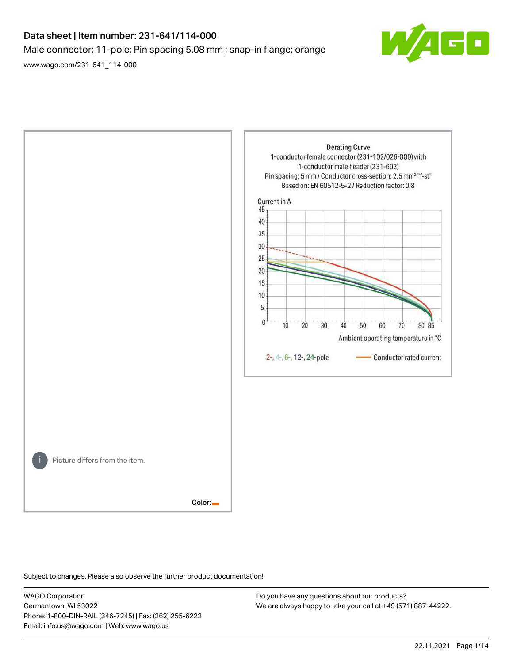# Data sheet | Item number: 231-641/114-000 Male connector; 11-pole; Pin spacing 5.08 mm ; snap-in flange; orange

[www.wago.com/231-641\\_114-000](http://www.wago.com/231-641_114-000)





Subject to changes. Please also observe the further product documentation!

WAGO Corporation Germantown, WI 53022 Phone: 1-800-DIN-RAIL (346-7245) | Fax: (262) 255-6222 Email: info.us@wago.com | Web: www.wago.us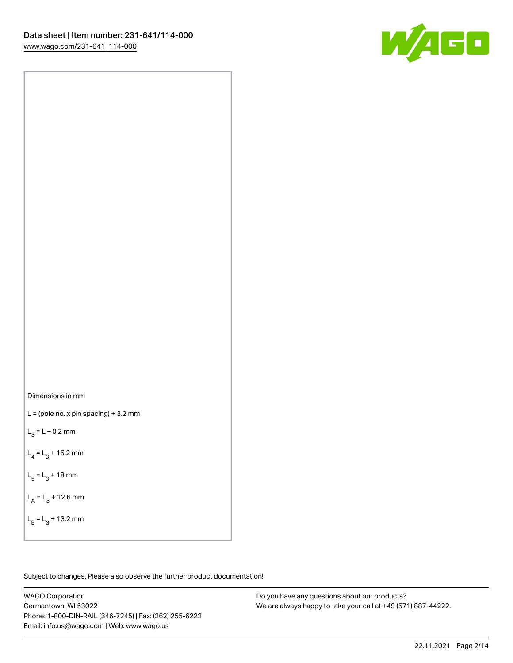

Dimensions in mm

 $L =$  (pole no. x pin spacing) + 3.2 mm

 $L_3 = L - 0.2$  mm

 $L_4 = L_3 + 15.2$  mm

 $L_5 = L_3 + 18$  mm

 $L_A = L_3 + 12.6$  mm

 $L_B = L_3 + 13.2$  mm

Subject to changes. Please also observe the further product documentation!

WAGO Corporation Germantown, WI 53022 Phone: 1-800-DIN-RAIL (346-7245) | Fax: (262) 255-6222 Email: info.us@wago.com | Web: www.wago.us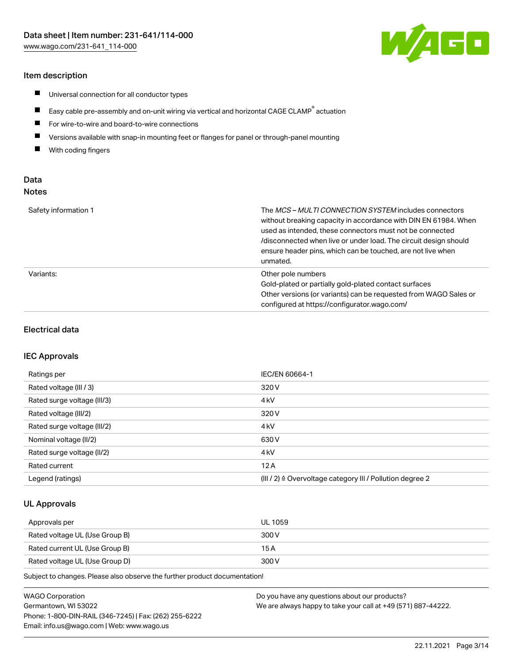## Item description

- $\blacksquare$ Universal connection for all conductor types
- $\blacksquare$ Easy cable pre-assembly and on-unit wiring via vertical and horizontal CAGE CLAMP<sup>®</sup> actuation
- $\blacksquare$ For wire-to-wire and board-to-wire connections
- $\blacksquare$ Versions available with snap-in mounting feet or flanges for panel or through-panel mounting
- $\blacksquare$ With coding fingers

# Data Notes

| Safety information 1 | The <i>MCS – MULTI CONNECTION SYSTEM</i> includes connectors<br>without breaking capacity in accordance with DIN EN 61984. When<br>used as intended, these connectors must not be connected<br>/disconnected when live or under load. The circuit design should<br>ensure header pins, which can be touched, are not live when<br>unmated. |
|----------------------|--------------------------------------------------------------------------------------------------------------------------------------------------------------------------------------------------------------------------------------------------------------------------------------------------------------------------------------------|
| Variants:            | Other pole numbers<br>Gold-plated or partially gold-plated contact surfaces<br>Other versions (or variants) can be requested from WAGO Sales or<br>configured at https://configurator.wago.com/                                                                                                                                            |

#### Electrical data

#### IEC Approvals

| Ratings per                 | IEC/EN 60664-1                                                        |
|-----------------------------|-----------------------------------------------------------------------|
| Rated voltage (III / 3)     | 320 V                                                                 |
| Rated surge voltage (III/3) | 4 <sub>k</sub> V                                                      |
| Rated voltage (III/2)       | 320 V                                                                 |
| Rated surge voltage (III/2) | 4 <sub>k</sub> V                                                      |
| Nominal voltage (II/2)      | 630 V                                                                 |
| Rated surge voltage (II/2)  | 4 <sub>kV</sub>                                                       |
| Rated current               | 12A                                                                   |
| Legend (ratings)            | $(III / 2)$ $\triangle$ Overvoltage category III / Pollution degree 2 |

## UL Approvals

| Approvals per                  | UL 1059 |
|--------------------------------|---------|
| Rated voltage UL (Use Group B) | 300 V   |
| Rated current UL (Use Group B) | 15 A    |
| Rated voltage UL (Use Group D) | 300 V   |

Subject to changes. Please also observe the further product documentation!

| <b>WAGO Corporation</b>                                | Do you have any questions about our products?                 |
|--------------------------------------------------------|---------------------------------------------------------------|
| Germantown, WI 53022                                   | We are always happy to take your call at +49 (571) 887-44222. |
| Phone: 1-800-DIN-RAIL (346-7245)   Fax: (262) 255-6222 |                                                               |
| Email: info.us@wago.com   Web: www.wago.us             |                                                               |

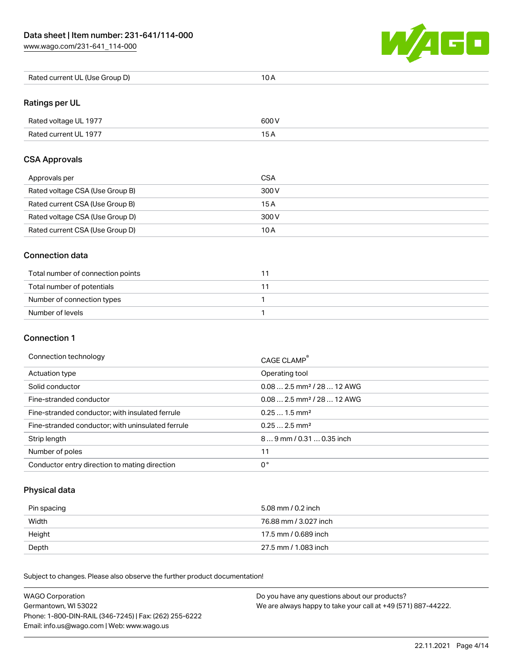[www.wago.com/231-641\\_114-000](http://www.wago.com/231-641_114-000)



| Rated current UL (Use Group D) | 10 A |
|--------------------------------|------|
|--------------------------------|------|

# Ratings per UL

| Rated voltage UL 1977 | 600 V |
|-----------------------|-------|
| Rated current UL 1977 |       |

## CSA Approvals

| Approvals per                   | CSA   |
|---------------------------------|-------|
| Rated voltage CSA (Use Group B) | 300 V |
| Rated current CSA (Use Group B) | 15 A  |
| Rated voltage CSA (Use Group D) | 300 V |
| Rated current CSA (Use Group D) | 10 A  |

## Connection data

| Total number of connection points |  |
|-----------------------------------|--|
| Total number of potentials        |  |
| Number of connection types        |  |
| Number of levels                  |  |

## Connection 1

#### Connection technology CAGE CLAMP®

|                                                   | <b>CAGE CLAMP</b>                       |
|---------------------------------------------------|-----------------------------------------|
| Actuation type                                    | Operating tool                          |
| Solid conductor                                   | $0.08$ 2.5 mm <sup>2</sup> / 28  12 AWG |
| Fine-stranded conductor                           | $0.08$ 2.5 mm <sup>2</sup> / 28  12 AWG |
| Fine-stranded conductor; with insulated ferrule   | $0.251.5$ mm <sup>2</sup>               |
| Fine-stranded conductor; with uninsulated ferrule | $0.252.5$ mm <sup>2</sup>               |
| Strip length                                      | 89 mm / 0.31  0.35 inch                 |
| Number of poles                                   |                                         |
| Conductor entry direction to mating direction     | 0°                                      |

# Physical data

| Pin spacing | 5.08 mm / 0.2 inch    |
|-------------|-----------------------|
| Width       | 76.88 mm / 3.027 inch |
| Height      | 17.5 mm / 0.689 inch  |
| Depth       | 27.5 mm / 1.083 inch  |

Subject to changes. Please also observe the further product documentation! Mechanical data

| <b>WAGO Corporation</b>                                | Do you have any questions about our products?                 |
|--------------------------------------------------------|---------------------------------------------------------------|
| Germantown, WI 53022                                   | We are always happy to take your call at +49 (571) 887-44222. |
| Phone: 1-800-DIN-RAIL (346-7245)   Fax: (262) 255-6222 |                                                               |
| Email: info.us@wago.com   Web: www.wago.us             |                                                               |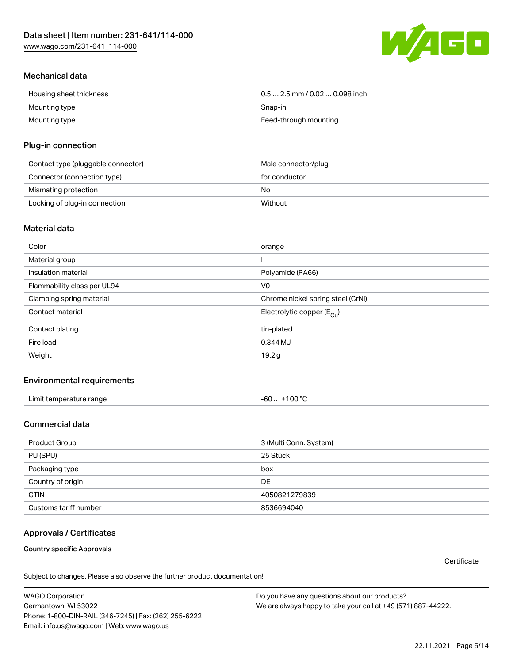[www.wago.com/231-641\\_114-000](http://www.wago.com/231-641_114-000)



## Mechanical data

| Housing sheet thickness | $0.5$ 2.5 mm / 0.02  0.098 inch |
|-------------------------|---------------------------------|
| Mounting type           | Snap-in                         |
| Mounting type           | Feed-through mounting           |

## Plug-in connection

| Contact type (pluggable connector) | Male connector/plug |
|------------------------------------|---------------------|
| Connector (connection type)        | for conductor       |
| Mismating protection               | No                  |
| Locking of plug-in connection      | Without             |

#### Material data

| Color                       | orange                                |
|-----------------------------|---------------------------------------|
| Material group              |                                       |
| Insulation material         | Polyamide (PA66)                      |
| Flammability class per UL94 | V <sub>0</sub>                        |
| Clamping spring material    | Chrome nickel spring steel (CrNi)     |
| Contact material            | Electrolytic copper $(E_{\text{Cu}})$ |
| Contact plating             | tin-plated                            |
| Fire load                   | 0.344 MJ                              |
| Weight                      | 19.2 g                                |

# Environmental requirements

| Limit temperature range<br>the contract of the contract of the contract of the contract of the contract of the contract of the contract of | . +100 ℃<br>-60 |  |
|--------------------------------------------------------------------------------------------------------------------------------------------|-----------------|--|
|--------------------------------------------------------------------------------------------------------------------------------------------|-----------------|--|

# Commercial data

| Product Group         | 3 (Multi Conn. System) |
|-----------------------|------------------------|
| PU (SPU)              | 25 Stück               |
| Packaging type        | box                    |
| Country of origin     | DE                     |
| <b>GTIN</b>           | 4050821279839          |
| Customs tariff number | 8536694040             |

# Approvals / Certificates

Country specific Approvals

**Certificate** 

Subject to changes. Please also observe the further product documentation!

WAGO Corporation Germantown, WI 53022 Phone: 1-800-DIN-RAIL (346-7245) | Fax: (262) 255-6222 Email: info.us@wago.com | Web: www.wago.us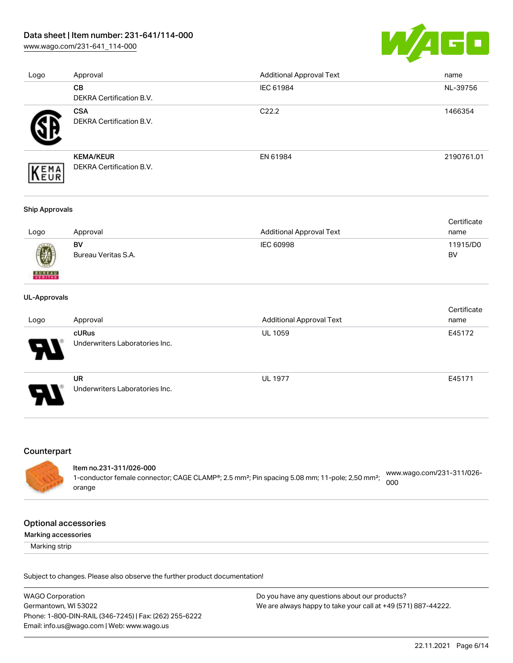[www.wago.com/231-641\\_114-000](http://www.wago.com/231-641_114-000)



| Logo | Approval                                     | <b>Additional Approval Text</b> | name       |
|------|----------------------------------------------|---------------------------------|------------|
|      | <b>CB</b>                                    | IEC 61984                       | NL-39756   |
|      | DEKRA Certification B.V.                     |                                 |            |
|      | <b>CSA</b><br>DEKRA Certification B.V.       | C <sub>22.2</sub>               | 1466354    |
| EMA  | <b>KEMA/KEUR</b><br>DEKRA Certification B.V. | EN 61984                        | 2190761.01 |

#### Ship Approvals

|      |                     |                          | Certificate |
|------|---------------------|--------------------------|-------------|
| Logo | Approval            | Additional Approval Text | name        |
|      | BV                  | IEC 60998                | 11915/D0    |
| 0    | Bureau Veritas S.A. |                          | BV          |

#### UL-Approvals

**BUREAU** 

|      |                                |                                 | Certificate |
|------|--------------------------------|---------------------------------|-------------|
| Logo | Approval                       | <b>Additional Approval Text</b> | name        |
|      | cURus                          | <b>UL 1059</b>                  | E45172      |
| R    | Underwriters Laboratories Inc. |                                 |             |
|      | <b>UR</b>                      | <b>UL 1977</b>                  | E45171      |
| Ъ.   | Underwriters Laboratories Inc. |                                 |             |

#### Counterpart

#### Item no.231-311/026-000 1-conductor female connector; CAGE CLAMP®; 2.5 mm²; Pin spacing 5.08 mm; 11-pole; 2,50 mm²; [www.wago.com/231-311/026-](https://www.wago.com/231-311/026-000) [000](https://www.wago.com/231-311/026-000)

## Optional accessories

orange

Marking accessories

Marking strip

Subject to changes. Please also observe the further product documentation!

WAGO Corporation Germantown, WI 53022 Phone: 1-800-DIN-RAIL (346-7245) | Fax: (262) 255-6222 Email: info.us@wago.com | Web: www.wago.us Do you have any questions about our products? We are always happy to take your call at +49 (571) 887-44222.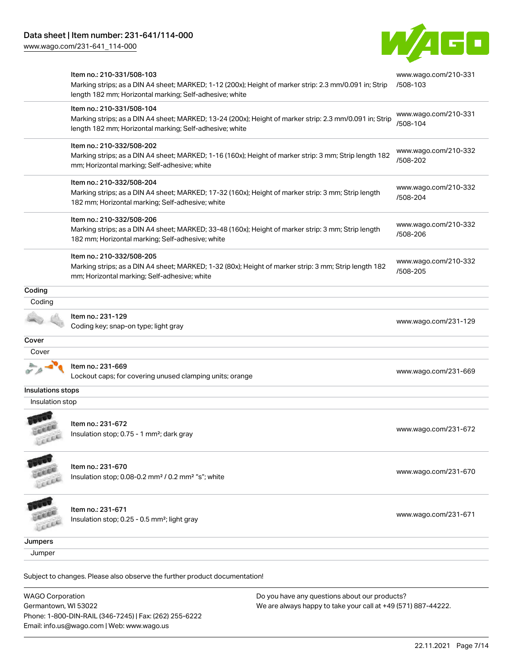Email: info.us@wago.com | Web: www.wago.us

[www.wago.com/231-641\\_114-000](http://www.wago.com/231-641_114-000)



|                                                 | Item no.: 210-331/508-103<br>Marking strips; as a DIN A4 sheet; MARKED; 1-12 (200x); Height of marker strip: 2.3 mm/0.091 in; Strip<br>length 182 mm; Horizontal marking; Self-adhesive; white  |                                                                                                                | www.wago.com/210-331<br>/508-103 |
|-------------------------------------------------|-------------------------------------------------------------------------------------------------------------------------------------------------------------------------------------------------|----------------------------------------------------------------------------------------------------------------|----------------------------------|
|                                                 | Item no.: 210-331/508-104<br>Marking strips; as a DIN A4 sheet; MARKED; 13-24 (200x); Height of marker strip: 2.3 mm/0.091 in; Strip<br>length 182 mm; Horizontal marking; Self-adhesive; white |                                                                                                                | www.wago.com/210-331<br>/508-104 |
|                                                 | Item no.: 210-332/508-202<br>Marking strips; as a DIN A4 sheet; MARKED; 1-16 (160x); Height of marker strip: 3 mm; Strip length 182<br>mm; Horizontal marking; Self-adhesive; white             |                                                                                                                | www.wago.com/210-332<br>/508-202 |
|                                                 | Item no.: 210-332/508-204<br>Marking strips; as a DIN A4 sheet; MARKED; 17-32 (160x); Height of marker strip: 3 mm; Strip length<br>182 mm; Horizontal marking; Self-adhesive; white            |                                                                                                                | www.wago.com/210-332<br>/508-204 |
|                                                 | Item no.: 210-332/508-206<br>Marking strips; as a DIN A4 sheet; MARKED; 33-48 (160x); Height of marker strip: 3 mm; Strip length<br>182 mm; Horizontal marking; Self-adhesive; white            |                                                                                                                | www.wago.com/210-332<br>/508-206 |
|                                                 | Item no.: 210-332/508-205<br>Marking strips; as a DIN A4 sheet; MARKED; 1-32 (80x); Height of marker strip: 3 mm; Strip length 182<br>mm; Horizontal marking; Self-adhesive; white              |                                                                                                                | www.wago.com/210-332<br>/508-205 |
| Coding                                          |                                                                                                                                                                                                 |                                                                                                                |                                  |
| Coding                                          |                                                                                                                                                                                                 |                                                                                                                |                                  |
|                                                 | Item no.: 231-129<br>Coding key; snap-on type; light gray                                                                                                                                       |                                                                                                                | www.wago.com/231-129             |
| Cover                                           |                                                                                                                                                                                                 |                                                                                                                |                                  |
| Cover                                           |                                                                                                                                                                                                 |                                                                                                                |                                  |
|                                                 | Item no.: 231-669<br>Lockout caps; for covering unused clamping units; orange                                                                                                                   |                                                                                                                | www.wago.com/231-669             |
| Insulations stops                               |                                                                                                                                                                                                 |                                                                                                                |                                  |
| Insulation stop                                 |                                                                                                                                                                                                 |                                                                                                                |                                  |
| LEEL                                            | Item no.: 231-672<br>Insulation stop; 0.75 - 1 mm <sup>2</sup> ; dark gray                                                                                                                      |                                                                                                                | www.wago.com/231-672             |
|                                                 | Item no.: 231-670<br>Insulation stop; 0.08-0.2 mm <sup>2</sup> / 0.2 mm <sup>2</sup> "s"; white                                                                                                 |                                                                                                                | www.wago.com/231-670             |
|                                                 | Item no.: 231-671<br>Insulation stop; 0.25 - 0.5 mm <sup>2</sup> ; light gray                                                                                                                   |                                                                                                                | www.wago.com/231-671             |
| Jumpers                                         |                                                                                                                                                                                                 |                                                                                                                |                                  |
| Jumper                                          |                                                                                                                                                                                                 |                                                                                                                |                                  |
|                                                 | Subject to changes. Please also observe the further product documentation!                                                                                                                      |                                                                                                                |                                  |
| <b>WAGO Corporation</b><br>Germantown, WI 53022 | Phone: 1-800-DIN-RAIL (346-7245)   Fax: (262) 255-6222                                                                                                                                          | Do you have any questions about our products?<br>We are always happy to take your call at +49 (571) 887-44222. |                                  |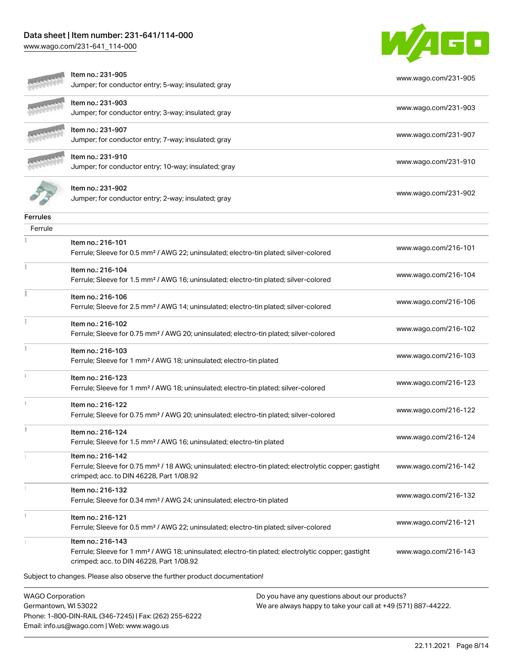Phone: 1-800-DIN-RAIL (346-7245) | Fax: (262) 255-6222

Email: info.us@wago.com | Web: www.wago.us

[www.wago.com/231-641\\_114-000](http://www.wago.com/231-641_114-000)



|                                                 | Item no.: 231-905<br>Jumper; for conductor entry; 5-way; insulated; gray                                                                                                           |                                                                                                                | www.wago.com/231-905 |
|-------------------------------------------------|------------------------------------------------------------------------------------------------------------------------------------------------------------------------------------|----------------------------------------------------------------------------------------------------------------|----------------------|
|                                                 | Item no.: 231-903<br>Jumper; for conductor entry; 3-way; insulated; gray                                                                                                           |                                                                                                                | www.wago.com/231-903 |
|                                                 | Item no.: 231-907<br>Jumper; for conductor entry; 7-way; insulated; gray                                                                                                           |                                                                                                                | www.wago.com/231-907 |
|                                                 | Item no.: 231-910<br>Jumper; for conductor entry; 10-way; insulated; gray                                                                                                          |                                                                                                                | www.wago.com/231-910 |
|                                                 | Item no.: 231-902<br>Jumper; for conductor entry; 2-way; insulated; gray                                                                                                           |                                                                                                                | www.wago.com/231-902 |
| <b>Ferrules</b>                                 |                                                                                                                                                                                    |                                                                                                                |                      |
| Ferrule                                         |                                                                                                                                                                                    |                                                                                                                |                      |
|                                                 | Item no.: 216-101<br>Ferrule; Sleeve for 0.5 mm <sup>2</sup> / AWG 22; uninsulated; electro-tin plated; silver-colored                                                             |                                                                                                                | www.wago.com/216-101 |
|                                                 | Item no.: 216-104<br>Ferrule; Sleeve for 1.5 mm <sup>2</sup> / AWG 16; uninsulated; electro-tin plated; silver-colored                                                             |                                                                                                                | www.wago.com/216-104 |
|                                                 | Item no.: 216-106<br>Ferrule; Sleeve for 2.5 mm <sup>2</sup> / AWG 14; uninsulated; electro-tin plated; silver-colored                                                             |                                                                                                                | www.wago.com/216-106 |
|                                                 | Item no.: 216-102<br>Ferrule; Sleeve for 0.75 mm <sup>2</sup> / AWG 20; uninsulated; electro-tin plated; silver-colored                                                            |                                                                                                                | www.wago.com/216-102 |
|                                                 | Item no.: 216-103<br>Ferrule; Sleeve for 1 mm <sup>2</sup> / AWG 18; uninsulated; electro-tin plated                                                                               |                                                                                                                | www.wago.com/216-103 |
|                                                 | Item no.: 216-123<br>Ferrule; Sleeve for 1 mm <sup>2</sup> / AWG 18; uninsulated; electro-tin plated; silver-colored                                                               |                                                                                                                | www.wago.com/216-123 |
|                                                 | Item no.: 216-122<br>Ferrule; Sleeve for 0.75 mm <sup>2</sup> / AWG 20; uninsulated; electro-tin plated; silver-colored                                                            |                                                                                                                | www.wago.com/216-122 |
|                                                 | Item no.: 216-124<br>Ferrule; Sleeve for 1.5 mm <sup>2</sup> / AWG 16; uninsulated; electro-tin plated                                                                             |                                                                                                                | www.wago.com/216-124 |
|                                                 | Item no.: 216-142<br>Ferrule; Sleeve for 0.75 mm <sup>2</sup> / 18 AWG; uninsulated; electro-tin plated; electrolytic copper; gastight<br>crimped; acc. to DIN 46228, Part 1/08.92 |                                                                                                                | www.wago.com/216-142 |
|                                                 | Item no.: 216-132<br>Ferrule; Sleeve for 0.34 mm <sup>2</sup> / AWG 24; uninsulated; electro-tin plated                                                                            |                                                                                                                | www.wago.com/216-132 |
|                                                 | Item no.: 216-121<br>Ferrule; Sleeve for 0.5 mm <sup>2</sup> / AWG 22; uninsulated; electro-tin plated; silver-colored                                                             |                                                                                                                | www.wago.com/216-121 |
|                                                 | Item no.: 216-143<br>Ferrule; Sleeve for 1 mm <sup>2</sup> / AWG 18; uninsulated; electro-tin plated; electrolytic copper; gastight<br>crimped; acc. to DIN 46228, Part 1/08.92    |                                                                                                                | www.wago.com/216-143 |
|                                                 | Subject to changes. Please also observe the further product documentation!                                                                                                         |                                                                                                                |                      |
| <b>WAGO Corporation</b><br>Germantown, WI 53022 |                                                                                                                                                                                    | Do you have any questions about our products?<br>We are always happy to take your call at +49 (571) 887-44222. |                      |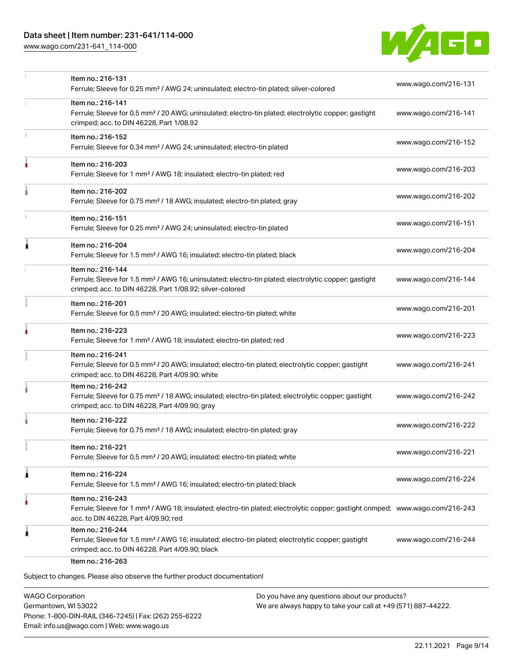[www.wago.com/231-641\\_114-000](http://www.wago.com/231-641_114-000)



|    | Item no.: 216-131<br>Ferrule; Sleeve for 0.25 mm <sup>2</sup> / AWG 24; uninsulated; electro-tin plated; silver-colored                                                                                 | www.wago.com/216-131 |
|----|---------------------------------------------------------------------------------------------------------------------------------------------------------------------------------------------------------|----------------------|
|    | Item no.: 216-141<br>Ferrule; Sleeve for 0.5 mm <sup>2</sup> / 20 AWG; uninsulated; electro-tin plated; electrolytic copper; gastight<br>crimped; acc. to DIN 46228, Part 1/08.92                       | www.wago.com/216-141 |
| I. | Item no.: 216-152<br>Ferrule; Sleeve for 0.34 mm <sup>2</sup> / AWG 24; uninsulated; electro-tin plated                                                                                                 | www.wago.com/216-152 |
|    | Item no.: 216-203<br>Ferrule; Sleeve for 1 mm <sup>2</sup> / AWG 18; insulated; electro-tin plated; red                                                                                                 | www.wago.com/216-203 |
|    | Item no.: 216-202<br>Ferrule; Sleeve for 0.75 mm <sup>2</sup> / 18 AWG; insulated; electro-tin plated; gray                                                                                             | www.wago.com/216-202 |
|    | Item no.: 216-151<br>Ferrule; Sleeve for 0.25 mm <sup>2</sup> / AWG 24; uninsulated; electro-tin plated                                                                                                 | www.wago.com/216-151 |
| Â  | Item no.: 216-204<br>Ferrule; Sleeve for 1.5 mm <sup>2</sup> / AWG 16; insulated; electro-tin plated; black                                                                                             | www.wago.com/216-204 |
|    | Item no.: 216-144<br>Ferrule; Sleeve for 1.5 mm <sup>2</sup> / AWG 16; uninsulated; electro-tin plated; electrolytic copper; gastight<br>crimped; acc. to DIN 46228, Part 1/08.92; silver-colored       | www.wago.com/216-144 |
|    | Item no.: 216-201<br>Ferrule; Sleeve for 0.5 mm <sup>2</sup> / 20 AWG; insulated; electro-tin plated; white                                                                                             | www.wago.com/216-201 |
|    | Item no.: 216-223<br>Ferrule; Sleeve for 1 mm <sup>2</sup> / AWG 18; insulated; electro-tin plated; red                                                                                                 | www.wago.com/216-223 |
|    | Item no.: 216-241<br>Ferrule; Sleeve for 0.5 mm <sup>2</sup> / 20 AWG; insulated; electro-tin plated; electrolytic copper; gastight<br>crimped; acc. to DIN 46228, Part 4/09.90; white                  | www.wago.com/216-241 |
|    | Item no.: 216-242<br>Ferrule; Sleeve for 0.75 mm <sup>2</sup> / 18 AWG; insulated; electro-tin plated; electrolytic copper; gastight<br>crimped; acc. to DIN 46228, Part 4/09.90; gray                  | www.wago.com/216-242 |
|    | Item no.: 216-222<br>Ferrule; Sleeve for 0.75 mm <sup>2</sup> / 18 AWG; insulated; electro-tin plated; gray                                                                                             | www.wago.com/216-222 |
|    | Item no.: 216-221<br>Ferrule; Sleeve for 0.5 mm <sup>2</sup> / 20 AWG; insulated; electro-tin plated; white                                                                                             | www.wago.com/216-221 |
| 1  | Item no.: 216-224<br>Ferrule; Sleeve for 1.5 mm <sup>2</sup> / AWG 16; insulated; electro-tin plated; black                                                                                             | www.wago.com/216-224 |
| ô  | Item no.: 216-243<br>Ferrule; Sleeve for 1 mm <sup>2</sup> / AWG 18; insulated; electro-tin plated; electrolytic copper; gastight crimped; www.wago.com/216-243<br>acc. to DIN 46228, Part 4/09.90; red |                      |
| ۸  | Item no.: 216-244<br>Ferrule; Sleeve for 1.5 mm <sup>2</sup> / AWG 16; insulated; electro-tin plated; electrolytic copper; gastight<br>crimped; acc. to DIN 46228, Part 4/09.90; black                  | www.wago.com/216-244 |

WAGO Corporation Germantown, WI 53022 Phone: 1-800-DIN-RAIL (346-7245) | Fax: (262) 255-6222 Email: info.us@wago.com | Web: www.wago.us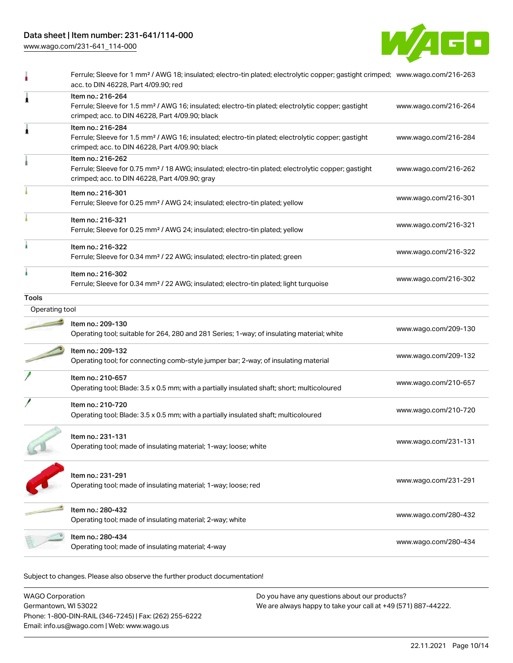[www.wago.com/231-641\\_114-000](http://www.wago.com/231-641_114-000)



|                | Ferrule; Sleeve for 1 mm <sup>2</sup> / AWG 18; insulated; electro-tin plated; electrolytic copper; gastight crimped; www.wago.com/216-263<br>acc. to DIN 46228, Part 4/09.90; red     |                      |
|----------------|----------------------------------------------------------------------------------------------------------------------------------------------------------------------------------------|----------------------|
| 1              | Item no.: 216-264<br>Ferrule; Sleeve for 1.5 mm <sup>2</sup> / AWG 16; insulated; electro-tin plated; electrolytic copper; gastight<br>crimped; acc. to DIN 46228, Part 4/09.90; black | www.wago.com/216-264 |
| 1              | Item no.: 216-284<br>Ferrule; Sleeve for 1.5 mm <sup>2</sup> / AWG 16; insulated; electro-tin plated; electrolytic copper; gastight<br>crimped; acc. to DIN 46228, Part 4/09.90; black | www.wago.com/216-284 |
|                | Item no.: 216-262<br>Ferrule; Sleeve for 0.75 mm <sup>2</sup> / 18 AWG; insulated; electro-tin plated; electrolytic copper; gastight<br>crimped; acc. to DIN 46228, Part 4/09.90; gray | www.wago.com/216-262 |
|                | Item no.: 216-301<br>Ferrule; Sleeve for 0.25 mm <sup>2</sup> / AWG 24; insulated; electro-tin plated; yellow                                                                          | www.wago.com/216-301 |
|                | Item no.: 216-321<br>Ferrule; Sleeve for 0.25 mm <sup>2</sup> / AWG 24; insulated; electro-tin plated; yellow                                                                          | www.wago.com/216-321 |
|                | Item no.: 216-322<br>Ferrule; Sleeve for 0.34 mm <sup>2</sup> / 22 AWG; insulated; electro-tin plated; green                                                                           | www.wago.com/216-322 |
|                | Item no.: 216-302<br>Ferrule; Sleeve for 0.34 mm <sup>2</sup> / 22 AWG; insulated; electro-tin plated; light turquoise                                                                 | www.wago.com/216-302 |
| <b>Tools</b>   |                                                                                                                                                                                        |                      |
| Operating tool |                                                                                                                                                                                        |                      |
|                | Item no.: 209-130<br>Operating tool; suitable for 264, 280 and 281 Series; 1-way; of insulating material; white                                                                        | www.wago.com/209-130 |
|                | Item no.: 209-132<br>Operating tool; for connecting comb-style jumper bar; 2-way; of insulating material                                                                               | www.wago.com/209-132 |
|                | Item no.: 210-657<br>Operating tool; Blade: 3.5 x 0.5 mm; with a partially insulated shaft; short; multicoloured                                                                       | www.wago.com/210-657 |
|                | Item no.: 210-720<br>Operating tool; Blade: 3.5 x 0.5 mm; with a partially insulated shaft; multicoloured                                                                              | www.wago.com/210-720 |
|                | Item no.: 231-131<br>Operating tool; made of insulating material; 1-way; loose; white                                                                                                  | www.wago.com/231-131 |
|                | Item no.: 231-291<br>Operating tool; made of insulating material; 1-way; loose; red                                                                                                    | www.wago.com/231-291 |
|                | Item no.: 280-432<br>Operating tool; made of insulating material; 2-way; white                                                                                                         | www.wago.com/280-432 |
|                | Item no.: 280-434<br>Operating tool; made of insulating material; 4-way                                                                                                                | www.wago.com/280-434 |
|                |                                                                                                                                                                                        |                      |

Subject to changes. Please also observe the further product documentation!

WAGO Corporation Germantown, WI 53022 Phone: 1-800-DIN-RAIL (346-7245) | Fax: (262) 255-6222 Email: info.us@wago.com | Web: www.wago.us Do you have any questions about our products? We are always happy to take your call at +49 (571) 887-44222.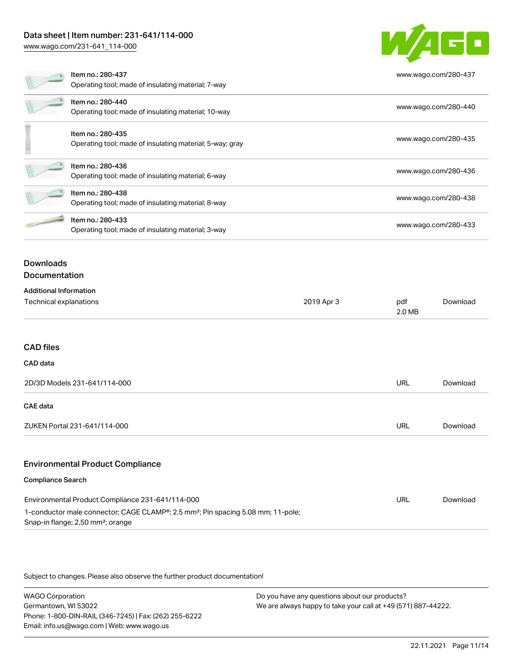[www.wago.com/231-641\\_114-000](http://www.wago.com/231-641_114-000)



| Environmental Product Compliance 231-641/114-000                                                                                                           | URL | Download |
|------------------------------------------------------------------------------------------------------------------------------------------------------------|-----|----------|
| 1-conductor male connector; CAGE CLAMP <sup>®</sup> ; 2.5 mm <sup>2</sup> ; Pin spacing 5.08 mm; 11-pole;<br>Snap-in flange; 2,50 mm <sup>2</sup> ; orange |     |          |

Subject to changes. Please also observe the further product documentation!

WAGO Corporation Germantown, WI 53022 Phone: 1-800-DIN-RAIL (346-7245) | Fax: (262) 255-6222 Email: info.us@wago.com | Web: www.wago.us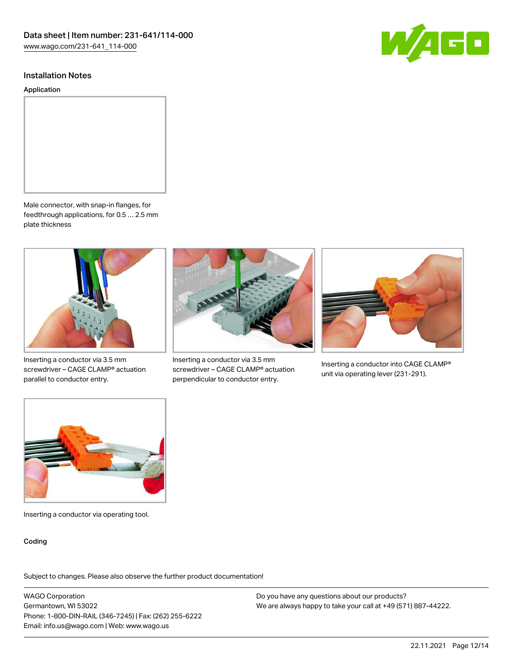

#### Installation Notes

Application



Male connector, with snap-in flanges, for feedthrough applications, for 0.5 … 2.5 mm plate thickness



Inserting a conductor via 3.5 mm screwdriver – CAGE CLAMP® actuation parallel to conductor entry.



Inserting a conductor via 3.5 mm screwdriver – CAGE CLAMP® actuation perpendicular to conductor entry.



Inserting a conductor into CAGE CLAMP® unit via operating lever (231-291).



Inserting a conductor via operating tool.

#### Coding

Subject to changes. Please also observe the further product documentation!

WAGO Corporation Germantown, WI 53022 Phone: 1-800-DIN-RAIL (346-7245) | Fax: (262) 255-6222 Email: info.us@wago.com | Web: www.wago.us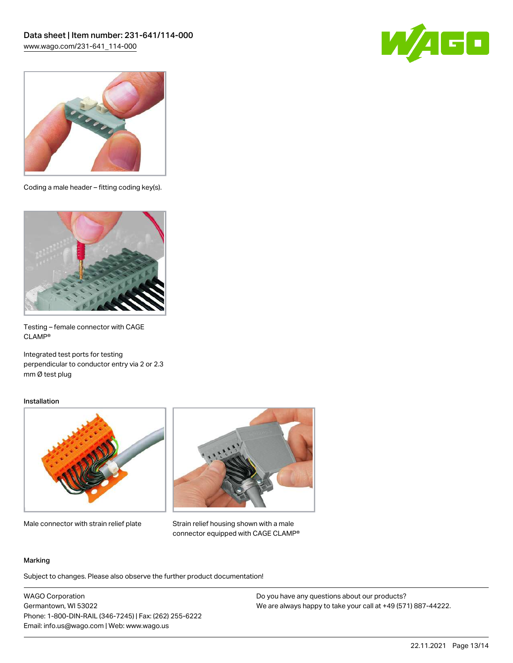



Coding a male header – fitting coding key(s).



Testing – female connector with CAGE CLAMP®

Integrated test ports for testing perpendicular to conductor entry via 2 or 2.3 mm Ø test plug

#### Installation



Male connector with strain relief plate



Strain relief housing shown with a male connector equipped with CAGE CLAMP®

#### Marking

Subject to changes. Please also observe the further product documentation!

WAGO Corporation Germantown, WI 53022 Phone: 1-800-DIN-RAIL (346-7245) | Fax: (262) 255-6222 Email: info.us@wago.com | Web: www.wago.us